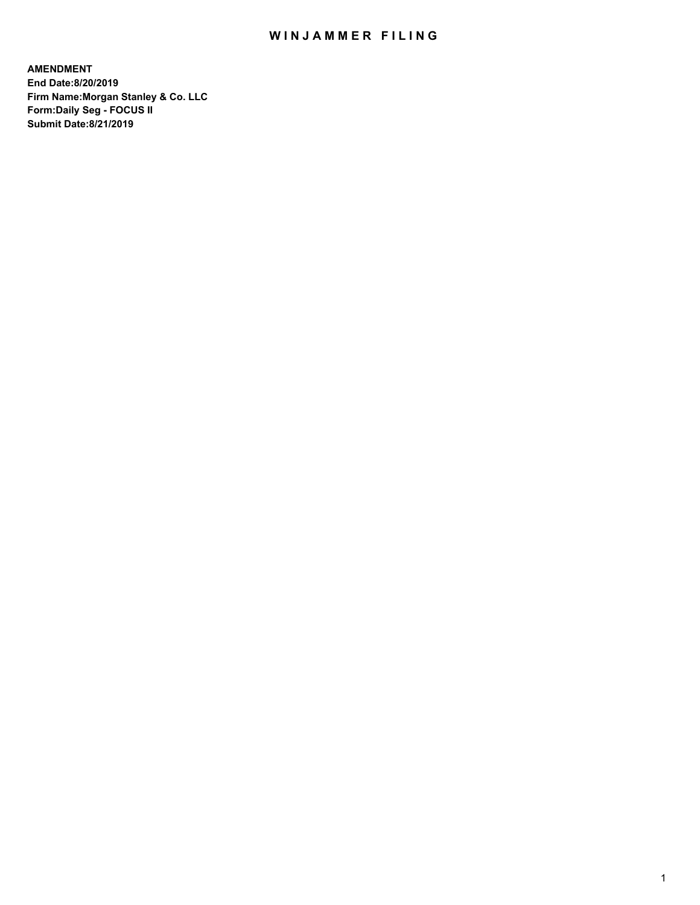## WIN JAMMER FILING

**AMENDMENT End Date:8/20/2019 Firm Name:Morgan Stanley & Co. LLC Form:Daily Seg - FOCUS II Submit Date:8/21/2019**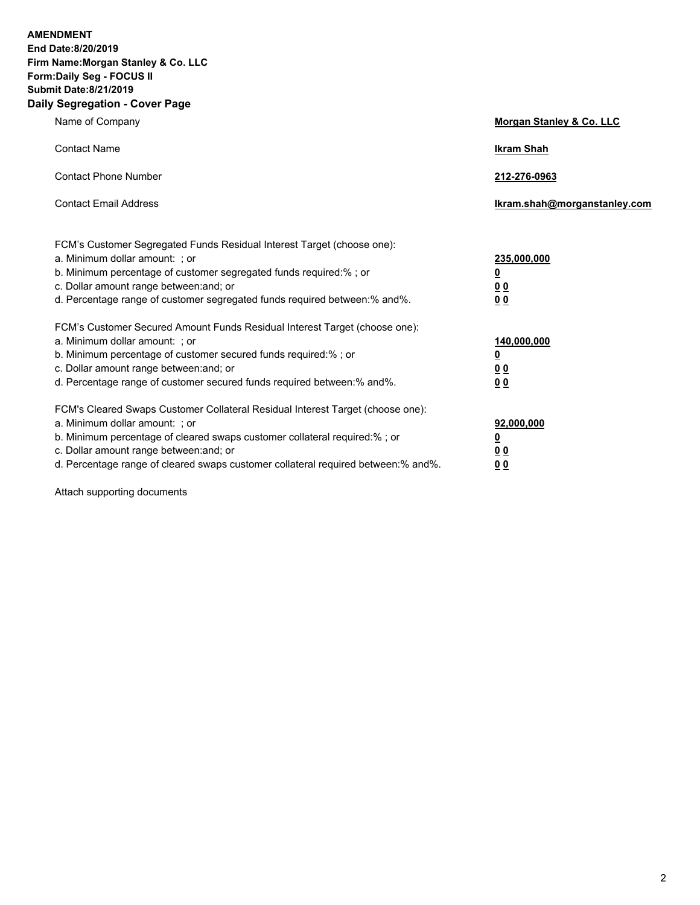**AMENDMENT End Date:8/20/2019 Firm Name:Morgan Stanley & Co. LLC Form:Daily Seg - FOCUS II Submit Date:8/21/2019 Daily Segregation - Cover Page**

| Name of Company                                                                                                                                                                                                                                                                                                                | Morgan Stanley & Co. LLC                               |
|--------------------------------------------------------------------------------------------------------------------------------------------------------------------------------------------------------------------------------------------------------------------------------------------------------------------------------|--------------------------------------------------------|
| <b>Contact Name</b>                                                                                                                                                                                                                                                                                                            | <b>Ikram Shah</b>                                      |
| <b>Contact Phone Number</b>                                                                                                                                                                                                                                                                                                    | 212-276-0963                                           |
| <b>Contact Email Address</b>                                                                                                                                                                                                                                                                                                   | Ikram.shah@morganstanley.com                           |
| FCM's Customer Segregated Funds Residual Interest Target (choose one):<br>a. Minimum dollar amount: ; or<br>b. Minimum percentage of customer segregated funds required:% ; or<br>c. Dollar amount range between: and; or<br>d. Percentage range of customer segregated funds required between:% and%.                         | 235,000,000<br><u>0</u><br>0 <sup>0</sup><br><u>00</u> |
| FCM's Customer Secured Amount Funds Residual Interest Target (choose one):<br>a. Minimum dollar amount: ; or<br>b. Minimum percentage of customer secured funds required:%; or<br>c. Dollar amount range between: and; or<br>d. Percentage range of customer secured funds required between:% and%.                            | 140,000,000<br><u>0</u><br>0 Q<br>0 <sup>0</sup>       |
| FCM's Cleared Swaps Customer Collateral Residual Interest Target (choose one):<br>a. Minimum dollar amount: ; or<br>b. Minimum percentage of cleared swaps customer collateral required:% ; or<br>c. Dollar amount range between: and; or<br>d. Percentage range of cleared swaps customer collateral required between:% and%. | 92,000,000<br><u>0</u><br><u>00</u><br>00              |

Attach supporting documents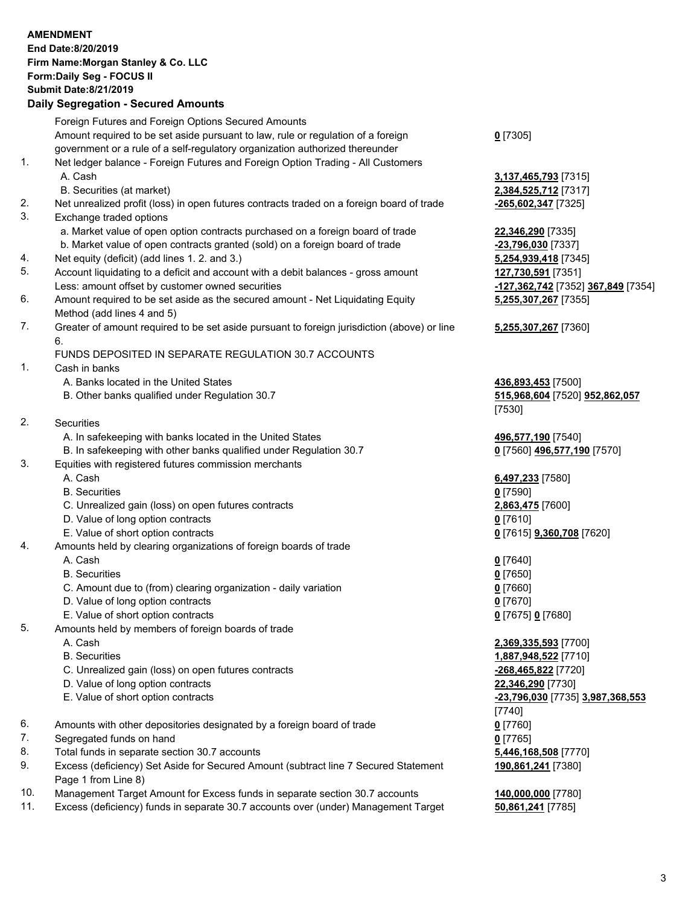|          | <b>AMENDMENT</b><br>End Date:8/20/2019<br>Firm Name: Morgan Stanley & Co. LLC<br>Form: Daily Seg - FOCUS II<br><b>Submit Date: 8/21/2019</b><br><b>Daily Segregation - Secured Amounts</b> |                                          |
|----------|--------------------------------------------------------------------------------------------------------------------------------------------------------------------------------------------|------------------------------------------|
|          | Foreign Futures and Foreign Options Secured Amounts                                                                                                                                        |                                          |
|          | Amount required to be set aside pursuant to law, rule or regulation of a foreign                                                                                                           | $0$ [7305]                               |
|          | government or a rule of a self-regulatory organization authorized thereunder                                                                                                               |                                          |
| 1.       | Net ledger balance - Foreign Futures and Foreign Option Trading - All Customers                                                                                                            |                                          |
|          | A. Cash                                                                                                                                                                                    | 3,137,465,793 [7315]                     |
|          | B. Securities (at market)                                                                                                                                                                  | 2,384,525,712 [7317]                     |
| 2.<br>3. | Net unrealized profit (loss) in open futures contracts traded on a foreign board of trade<br>Exchange traded options                                                                       | -265,602,347 [7325]                      |
|          | a. Market value of open option contracts purchased on a foreign board of trade                                                                                                             | 22,346,290 [7335]                        |
|          | b. Market value of open contracts granted (sold) on a foreign board of trade                                                                                                               | -23,796,030 [7337]                       |
| 4.       | Net equity (deficit) (add lines 1.2. and 3.)                                                                                                                                               | 5,254,939,418 [7345]                     |
| 5.       | Account liquidating to a deficit and account with a debit balances - gross amount                                                                                                          | 127,730,591 [7351]                       |
|          | Less: amount offset by customer owned securities                                                                                                                                           | -127,362,742 [7352] 367,849 [7354]       |
| 6.       | Amount required to be set aside as the secured amount - Net Liquidating Equity                                                                                                             | 5,255,307,267 [7355]                     |
|          | Method (add lines 4 and 5)                                                                                                                                                                 |                                          |
| 7.       | Greater of amount required to be set aside pursuant to foreign jurisdiction (above) or line                                                                                                | 5,255,307,267 [7360]                     |
|          | 6.                                                                                                                                                                                         |                                          |
| 1.       | FUNDS DEPOSITED IN SEPARATE REGULATION 30.7 ACCOUNTS<br>Cash in banks                                                                                                                      |                                          |
|          | A. Banks located in the United States                                                                                                                                                      | 436,893,453 [7500]                       |
|          | B. Other banks qualified under Regulation 30.7                                                                                                                                             | 515,968,604 [7520] 952,862,057           |
|          |                                                                                                                                                                                            | [7530]                                   |
| 2.       | Securities                                                                                                                                                                                 |                                          |
|          | A. In safekeeping with banks located in the United States                                                                                                                                  | 496,577,190 [7540]                       |
|          | B. In safekeeping with other banks qualified under Regulation 30.7                                                                                                                         | 0 [7560] 496,577,190 [7570]              |
| 3.       | Equities with registered futures commission merchants                                                                                                                                      |                                          |
|          | A. Cash                                                                                                                                                                                    | 6,497,233 [7580]                         |
|          | <b>B.</b> Securities                                                                                                                                                                       | $0$ [7590]                               |
|          | C. Unrealized gain (loss) on open futures contracts<br>D. Value of long option contracts                                                                                                   | 2,863,475 [7600]<br><u>0</u> [7610]      |
|          | E. Value of short option contracts                                                                                                                                                         | 0 [7615] <b>9,360,708</b> [7620]         |
| 4.       | Amounts held by clearing organizations of foreign boards of trade                                                                                                                          |                                          |
|          | A. Cash                                                                                                                                                                                    | $0$ [7640]                               |
|          | <b>B.</b> Securities                                                                                                                                                                       | $0$ [7650]                               |
|          | C. Amount due to (from) clearing organization - daily variation                                                                                                                            | $0$ [7660]                               |
|          | D. Value of long option contracts                                                                                                                                                          | $0$ [7670]                               |
|          | E. Value of short option contracts                                                                                                                                                         | 0 [7675] 0 [7680]                        |
| 5.       | Amounts held by members of foreign boards of trade                                                                                                                                         |                                          |
|          | A. Cash                                                                                                                                                                                    | 2,369,335,593 [7700]                     |
|          | <b>B.</b> Securities                                                                                                                                                                       | 1,887,948,522 [7710]                     |
|          | C. Unrealized gain (loss) on open futures contracts<br>D. Value of long option contracts                                                                                                   | -268,465,822 [7720]<br>22,346,290 [7730] |
|          | E. Value of short option contracts                                                                                                                                                         | -23,796,030 [7735] 3,987,368,553         |
|          |                                                                                                                                                                                            | $[7740]$                                 |
| 6.       | Amounts with other depositories designated by a foreign board of trade                                                                                                                     | $0$ [7760]                               |
| 7.       | Segregated funds on hand                                                                                                                                                                   | $0$ [7765]                               |
| 8.       | Total funds in separate section 30.7 accounts                                                                                                                                              | 5,446,168,508 [7770]                     |
| 9.       | Excess (deficiency) Set Aside for Secured Amount (subtract line 7 Secured Statement                                                                                                        | 190,861,241 [7380]                       |
|          | Page 1 from Line 8)                                                                                                                                                                        |                                          |
| 10.      | Management Target Amount for Excess funds in separate section 30.7 accounts                                                                                                                | 140,000,000 [7780]                       |

11. Excess (deficiency) funds in separate 30.7 accounts over (under) Management Target **50,861,241** [7785]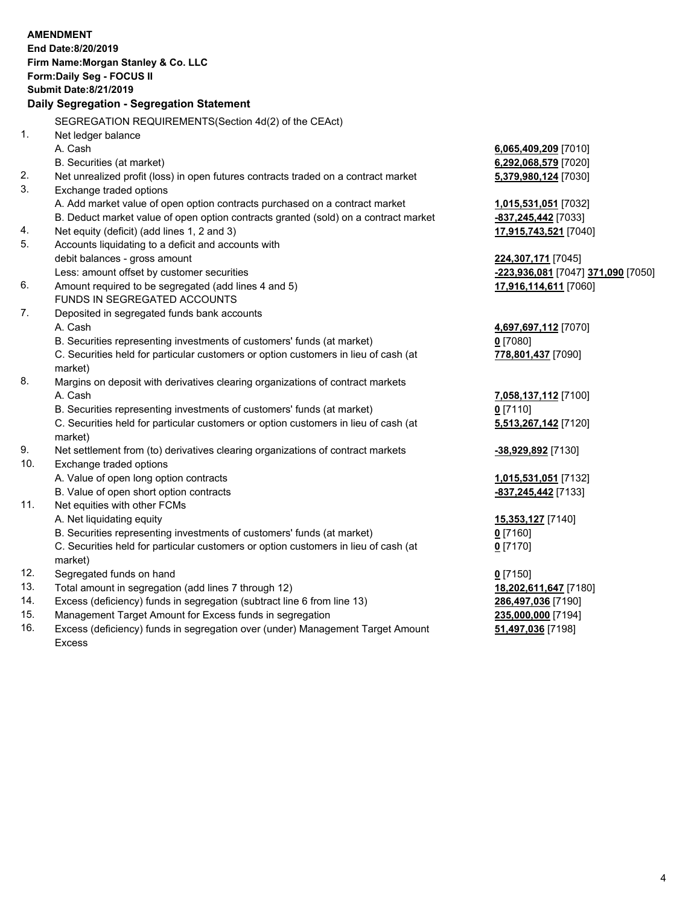|     | <b>AMENDMENT</b>                                                                    |                                                 |
|-----|-------------------------------------------------------------------------------------|-------------------------------------------------|
|     | End Date:8/20/2019                                                                  |                                                 |
|     | Firm Name: Morgan Stanley & Co. LLC                                                 |                                                 |
|     | Form: Daily Seg - FOCUS II                                                          |                                                 |
|     | <b>Submit Date:8/21/2019</b>                                                        |                                                 |
|     | Daily Segregation - Segregation Statement                                           |                                                 |
|     | SEGREGATION REQUIREMENTS(Section 4d(2) of the CEAct)                                |                                                 |
| 1.  | Net ledger balance                                                                  |                                                 |
|     | A. Cash                                                                             | 6,065,409,209 [7010]                            |
|     | B. Securities (at market)                                                           | 6,292,068,579 [7020]                            |
| 2.  | Net unrealized profit (loss) in open futures contracts traded on a contract market  | 5,379,980,124 [7030]                            |
| 3.  | Exchange traded options                                                             |                                                 |
|     | A. Add market value of open option contracts purchased on a contract market         | 1,015,531,051 [7032]                            |
|     | B. Deduct market value of open option contracts granted (sold) on a contract market | -837,245,442 [7033]                             |
| 4.  | Net equity (deficit) (add lines 1, 2 and 3)                                         | 17,915,743,521 [7040]                           |
| 5.  | Accounts liquidating to a deficit and accounts with                                 |                                                 |
|     | debit balances - gross amount                                                       | 224,307,171 [7045]                              |
|     | Less: amount offset by customer securities                                          | <mark>-223,936,081</mark> [7047] 371,090 [7050] |
| 6.  | Amount required to be segregated (add lines 4 and 5)                                | 17,916,114,611 [7060]                           |
|     | FUNDS IN SEGREGATED ACCOUNTS                                                        |                                                 |
| 7.  | Deposited in segregated funds bank accounts                                         |                                                 |
|     | A. Cash                                                                             | 4,697,697,112 [7070]                            |
|     | B. Securities representing investments of customers' funds (at market)              | $0$ [7080]                                      |
|     | C. Securities held for particular customers or option customers in lieu of cash (at | 778,801,437 [7090]                              |
|     | market)                                                                             |                                                 |
| 8.  | Margins on deposit with derivatives clearing organizations of contract markets      |                                                 |
|     | A. Cash                                                                             | 7,058,137,112 [7100]                            |
|     | B. Securities representing investments of customers' funds (at market)              | $0$ [7110]                                      |
|     | C. Securities held for particular customers or option customers in lieu of cash (at | 5,513,267,142 [7120]                            |
|     | market)                                                                             |                                                 |
| 9.  | Net settlement from (to) derivatives clearing organizations of contract markets     | <u>-38,929,892</u> [7130]                       |
| 10. | Exchange traded options                                                             |                                                 |
|     | A. Value of open long option contracts                                              | 1,015,531,051 [7132]                            |
|     | B. Value of open short option contracts                                             | -837, 245, 442 [7133]                           |
| 11. | Net equities with other FCMs                                                        |                                                 |
|     | A. Net liquidating equity                                                           | 15,353,127 [7140]                               |
|     | B. Securities representing investments of customers' funds (at market)              | $0$ [7160]                                      |
|     | C. Securities held for particular customers or option customers in lieu of cash (at | $0$ [7170]                                      |
|     | market)                                                                             |                                                 |
| 12. | Segregated funds on hand                                                            | $0$ [7150]                                      |
| 13. | Total amount in segregation (add lines 7 through 12)                                | 18,202,611,647 [7180]                           |
| 14. | Excess (deficiency) funds in segregation (subtract line 6 from line 13)             | 286,497,036 [7190]                              |
| 15. | Management Target Amount for Excess funds in segregation                            | 235,000,000 [7194]                              |
| 16. | Excess (deficiency) funds in segregation over (under) Management Target Amount      | 51,497,036 [7198]                               |

16. Excess (deficiency) funds in segregation over (under) Management Target Amount Excess